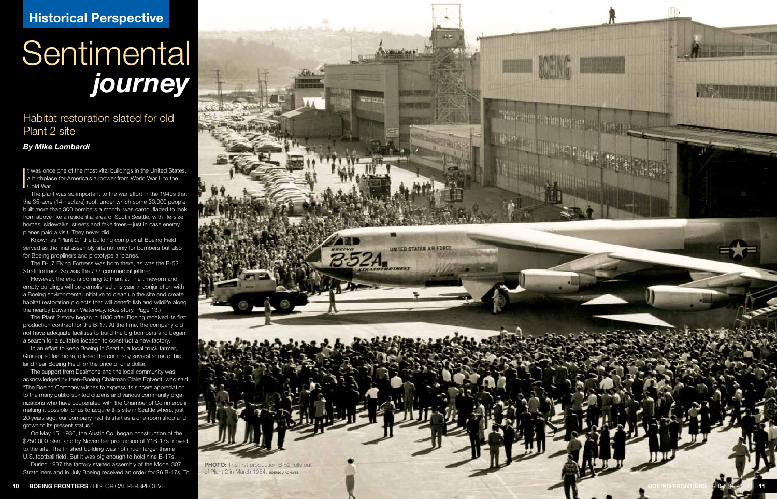## **Sentimental** *journey* **State of the state of the state of the state of the state of the state of the state of the state of the state of the state of the state of the state of the state of the state of the state of the state of the state of the**

Habitat restoration slated for old Plant 2 site

## *By Mike Lombardi*

t was once one of the most vital buildings in the United States,<br>a birthplace for America's airpower from World War II to the<br>Cold War. a birthplace for America's airpower from World War II to the Cold War.

The plant was so important to the war effort in the 1940s that the 35-acre (14-hectare) roof, under which some 30,000 people built more than 300 bombers a month, was camouflaged to look from above like a residential area of South Seattle, with life-size homes, sidewalks, streets and fake trees—just in case enemy planes paid a visit. They never did.

Known as "Plant 2," the building complex at Boeing Field served as the final assembly site not only for bombers but also for Boeing propliners and prototype airplanes.

The B-17 Flying Fortress was born there, as was the B-52 Stratofortress. So was the 737 commercial jetliner.

However, the end is coming to Plant 2. The timeworn and empty buildings will be demolished this year in conjunction with a Boeing environmental initiative to clean up the site and create habitat restoration projects that will benefit fish and wildlife along the nearby Duwamish Waterway. (See story, Page 13.)

The Plant 2 story began in 1936 after Boeing received its first production contract for the B-17. At the time, the company did not have adequate facilities to build the big bombers and began a search for a suitable location to construct a new factory.

In an effort to keep Boeing in Seattle, a local truck farmer, Giuseppe Desimone, offered the company several acres of his land near Boeing Field for the price of one dollar.

The support from Desimone and the local community was acknowledged by then–Boeing Chairman Claire Egtvedt, who said: "The Boeing Company wishes to express its sincere appreciation to the many public-spirited citizens and various community organizations who have cooperated with the Chamber of Commerce in making it possible for us to acquire this site in Seattle where, just 20 years ago, our company had its start as a one-room shop and grown to its present status."

On May 15, 1936, the Austin Co. began construction of the \$250,000 plant and by November production of Y1B-17s moved to the site. The finished building was not much larger than a U.S. football field. But it was big enough to hold nine B-17s.

During 1937 the factory started assembly of the Model 307



оf Plant 2 in March 1954. военна АRCHIVES